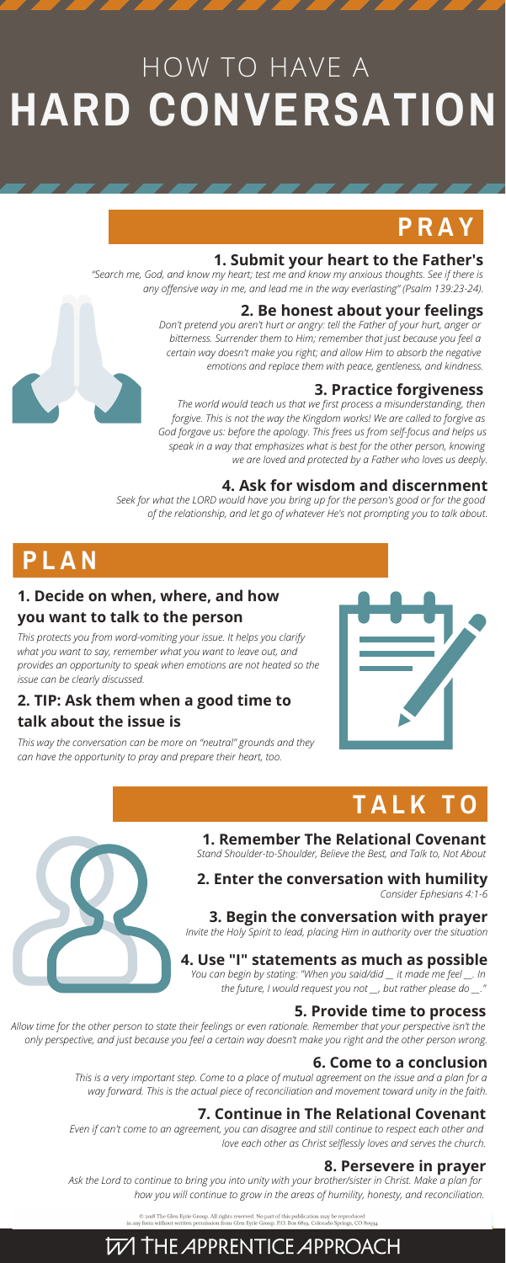# HOW TO HAVE A **HARD CONVERSATION**

### **1. Submit your heart to the Father's**

## **P R A Y**

### **1. Decide on when, where, and how you want to talk to the person**

# **P L A N**

# **T A L K T O**



*"Search me, God, and know my heart; test me and know my anxious thoughts. See if there is any offensive way in me, and lead me in the way everlasting" (Psalm 139:23-24).*

> *The world would teach us that we first process a misunderstanding, then forgive. This is not the way the Kingdom works! We are called to forgive as God forgave us: before the apology. This frees us from self-focus and helps us speak in a way that emphasizes what is best for the other person, knowing we are loved and protected by a Father who loves us deeply.*

### **4. Ask for wisdom and discernment**

*Seek for what the LORD would have you bring up for the person's good or for the good of the relationship, and let go of whatever He's not prompting you to talk about.*

### **2. Be honest about your feelings**

*Don't pretend you aren't hurt or angry: tell the Father of your hurt, anger or bitterness. Surrender them to Him; remember that just because you feel a certain way doesn't make you right; and allow Him to absorb the negative emotions and replace them with peace, gentleness, and kindness.*

### **3. Practice forgiveness**

*This protects you from word-vomiting your issue. It helps you clarify what you want to say, remember what you want to leave out, and provides an opportunity to speak when emotions are not heated so the issue can be clearly discussed.*

### **2. TIP: Ask them when a good time to talk about the issue is**

*This way the conversation can be more on "neutral" grounds and they can have the opportunity to pray and prepare their heart, too.*



**1. Remember The Relational Covenant** *Stand Shoulder-to-Shoulder, Believe the Best, and Talk to, Not About*

#### **2. Enter the conversation with humility** *Consider Ephesians 4:1-6*

**3. Begin the conversation with prayer**

*Invite the Holy Spirit to lead, placing Him in authority over the situation*

### **4. Use "I" statements as much as possible**

*You can begin by stating: "When you said/did \_\_ it made me feel \_\_. In the future, I would request you not \_\_, but rather please do \_\_."*

### **5. Provide time to process**

*Allow time for the other person to state their feelings or even rationale. Remember that your perspective isn't the only perspective, and just because you feel a certain way doesn't make you right and the other person wrong.*

### **6. Come to a conclusion**

*This is a very important step. Come to a place of mutual agreement on the issue and a plan for a way forward. This is the actual piece of reconciliation and movement toward unity in the faith.*

### **7. Continue in The Relational Covenant**

*Even if can't come to an agreement, you can disagree and still continue to respect each other and love each other as Christ selflessly loves and serves the church.*

### **8. Persevere in prayer**

*Ask the Lord to continue to bring you into unity with your brother/sister in Christ. Make a plan for how you will continue to grow in the areas of humility, honesty, and reconciliation.*

 $\copyright$  2018 The Glen Eyrie Group. All rights reserved. No part of this publication may be reproduced in any form without written permission from Glen Eyrie Group. P.O. Box 6819, Colorado Springs, CO 80934

### **W THE APPRENTICE APPROACH**